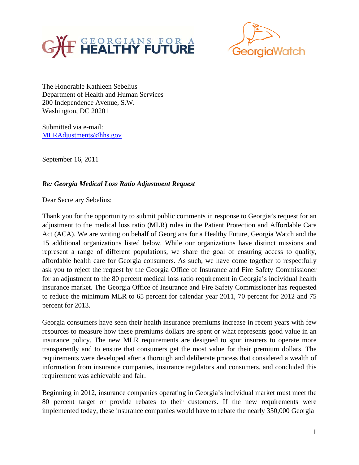



The Honorable Kathleen Sebelius Department of Health and Human Services 200 Independence Avenue, S.W. Washington, DC 20201

Submitted via e-mail: MLRAdjustments@hhs.gov

September 16, 2011

## *Re: Georgia Medical Loss Ratio Adjustment Request*

Dear Secretary Sebelius:

Thank you for the opportunity to submit public comments in response to Georgia's request for an adjustment to the medical loss ratio (MLR) rules in the Patient Protection and Affordable Care Act (ACA). We are writing on behalf of Georgians for a Healthy Future, Georgia Watch and the 15 additional organizations listed below. While our organizations have distinct missions and represent a range of different populations, we share the goal of ensuring access to quality, affordable health care for Georgia consumers. As such, we have come together to respectfully ask you to reject the request by the Georgia Office of Insurance and Fire Safety Commissioner for an adjustment to the 80 percent medical loss ratio requirement in Georgia's individual health insurance market. The Georgia Office of Insurance and Fire Safety Commissioner has requested to reduce the minimum MLR to 65 percent for calendar year 2011, 70 percent for 2012 and 75 percent for 2013.

Georgia consumers have seen their health insurance premiums increase in recent years with few resources to measure how these premiums dollars are spent or what represents good value in an insurance policy. The new MLR requirements are designed to spur insurers to operate more transparently and to ensure that consumers get the most value for their premium dollars. The requirements were developed after a thorough and deliberate process that considered a wealth of information from insurance companies, insurance regulators and consumers, and concluded this requirement was achievable and fair.

Beginning in 2012, insurance companies operating in Georgia's individual market must meet the 80 percent target or provide rebates to their customers. If the new requirements were implemented today, these insurance companies would have to rebate the nearly 350,000 Georgia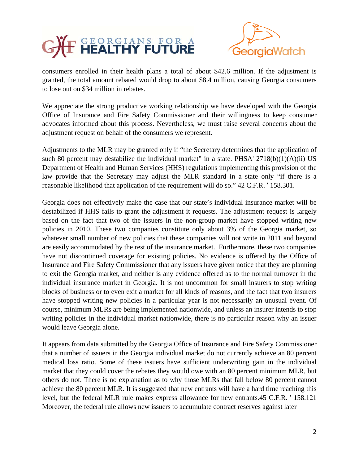



consumers enrolled in their health plans a total of about \$42.6 million. If the adjustment is granted, the total amount rebated would drop to about \$8.4 million, causing Georgia consumers to lose out on \$34 million in rebates.

We appreciate the strong productive working relationship we have developed with the Georgia Office of Insurance and Fire Safety Commissioner and their willingness to keep consumer advocates informed about this process. Nevertheless, we must raise several concerns about the adjustment request on behalf of the consumers we represent.

Adjustments to the MLR may be granted only if "the Secretary determines that the application of such 80 percent may destabilize the individual market" in a state. PHSA'  $2718(b)(1)(A)(ii)$  US Department of Health and Human Services (HHS) regulations implementing this provision of the law provide that the Secretary may adjust the MLR standard in a state only "if there is a reasonable likelihood that application of the requirement will do so." 42 C.F.R. ' 158.301.

Georgia does not effectively make the case that our state's individual insurance market will be destabilized if HHS fails to grant the adjustment it requests. The adjustment request is largely based on the fact that two of the issuers in the non-group market have stopped writing new policies in 2010. These two companies constitute only about 3% of the Georgia market, so whatever small number of new policies that these companies will not write in 2011 and beyond are easily accommodated by the rest of the insurance market. Furthermore, these two companies have not discontinued coverage for existing policies. No evidence is offered by the Office of Insurance and Fire Safety Commissioner that any issuers have given notice that they are planning to exit the Georgia market, and neither is any evidence offered as to the normal turnover in the individual insurance market in Georgia. It is not uncommon for small insurers to stop writing blocks of business or to even exit a market for all kinds of reasons, and the fact that two insurers have stopped writing new policies in a particular year is not necessarily an unusual event. Of course, minimum MLRs are being implemented nationwide, and unless an insurer intends to stop writing policies in the individual market nationwide, there is no particular reason why an issuer would leave Georgia alone.

It appears from data submitted by the Georgia Office of Insurance and Fire Safety Commissioner that a number of issuers in the Georgia individual market do not currently achieve an 80 percent medical loss ratio. Some of these issuers have sufficient underwriting gain in the individual market that they could cover the rebates they would owe with an 80 percent minimum MLR, but others do not. There is no explanation as to why those MLRs that fall below 80 percent cannot achieve the 80 percent MLR. It is suggested that new entrants will have a hard time reaching this level, but the federal MLR rule makes express allowance for new entrants.45 C.F.R. ' 158.121 Moreover, the federal rule allows new issuers to accumulate contract reserves against later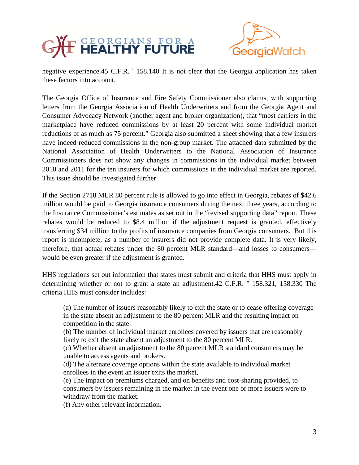



negative experience.45 C.F.R. ' 158.140 It is not clear that the Georgia application has taken these factors into account.

The Georgia Office of Insurance and Fire Safety Commissioner also claims, with supporting letters from the Georgia Association of Health Underwriters and from the Georgia Agent and Consumer Advocacy Network (another agent and broker organization), that "most carriers in the marketplace have reduced commissions by at least 20 percent with some individual market reductions of as much as 75 percent." Georgia also submitted a sheet showing that a few insurers have indeed reduced commissions in the non-group market. The attached data submitted by the National Association of Health Underwriters to the National Association of Insurance Commissioners does not show any changes in commissions in the individual market between 2010 and 2011 for the ten insurers for which commissions in the individual market are reported. This issue should be investigated further.

If the Section 2718 MLR 80 percent rule is allowed to go into effect in Georgia, rebates of \$42.6 million would be paid to Georgia insurance consumers during the next three years, according to the Insurance Commissioner's estimates as set out in the "revised supporting data" report. These rebates would be reduced to \$8.4 million if the adjustment request is granted, effectively transferring \$34 million to the profits of insurance companies from Georgia consumers. But this report is incomplete, as a number of insurers did not provide complete data. It is very likely, therefore, that actual rebates under the 80 percent MLR standard—and losses to consumers would be even greater if the adjustment is granted.

HHS regulations set out information that states must submit and criteria that HHS must apply in determining whether or not to grant a state an adjustment.42 C.F.R. '' 158.321, 158.330 The criteria HHS must consider includes:

(a) The number of issuers reasonably likely to exit the state or to cease offering coverage in the state absent an adjustment to the 80 percent MLR and the resulting impact on competition in the state.

(b) The number of individual market enrollees covered by issuers that are reasonably likely to exit the state absent an adjustment to the 80 percent MLR.

(c) Whether absent an adjustment to the 80 percent MLR standard consumers may be unable to access agents and brokers.

(d) The alternate coverage options within the state available to individual market enrollees in the event an issuer exits the market,

(e) The impact on premiums charged, and on benefits and cost-sharing provided, to consumers by issuers remaining in the market in the event one or more issuers were to withdraw from the market.

(f) Any other relevant information.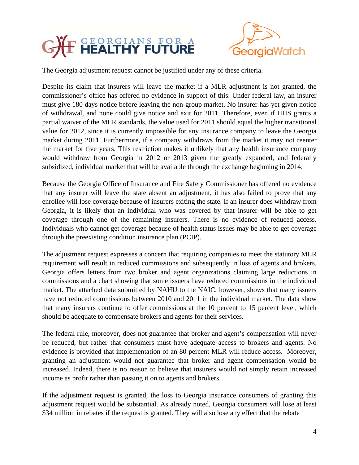

The Georgia adjustment request cannot be justified under any of these criteria.

Despite its claim that insurers will leave the market if a MLR adjustment is not granted, the commissioner's office has offered no evidence in support of this. Under federal law, an insurer must give 180 days notice before leaving the non-group market. No insurer has yet given notice of withdrawal, and none could give notice and exit for 2011. Therefore, even if HHS grants a partial waiver of the MLR standards, the value used for 2011 should equal the higher transitional value for 2012, since it is currently impossible for any insurance company to leave the Georgia market during 2011. Furthermore, if a company withdraws from the market it may not reenter the market for five years. This restriction makes it unlikely that any health insurance company would withdraw from Georgia in 2012 or 2013 given the greatly expanded, and federally subsidized, individual market that will be available through the exchange beginning in 2014.

Because the Georgia Office of Insurance and Fire Safety Commissioner has offered no evidence that any insurer will leave the state absent an adjustment, it has also failed to prove that any enrollee will lose coverage because of insurers exiting the state. If an insurer does withdraw from Georgia, it is likely that an individual who was covered by that insurer will be able to get coverage through one of the remaining insurers. There is no evidence of reduced access. Individuals who cannot get coverage because of health status issues may be able to get coverage through the preexisting condition insurance plan (PCIP).

The adjustment request expresses a concern that requiring companies to meet the statutory MLR requirement will result in reduced commissions and subsequently in loss of agents and brokers. Georgia offers letters from two broker and agent organizations claiming large reductions in commissions and a chart showing that some issuers have reduced commissions in the individual market. The attached data submitted by NAHU to the NAIC, however, shows that many issuers have not reduced commissions between 2010 and 2011 in the individual market. The data show that many insurers continue to offer commissions at the 10 percent to 15 percent level, which should be adequate to compensate brokers and agents for their services.

The federal rule, moreover, does not guarantee that broker and agent's compensation will never be reduced, but rather that consumers must have adequate access to brokers and agents. No evidence is provided that implementation of an 80 percent MLR will reduce access. Moreover, granting an adjustment would not guarantee that broker and agent compensation would be increased. Indeed, there is no reason to believe that insurers would not simply retain increased income as profit rather than passing it on to agents and brokers.

If the adjustment request is granted, the loss to Georgia insurance consumers of granting this adjustment request would be substantial. As already noted, Georgia consumers will lose at least \$34 million in rebates if the request is granted. They will also lose any effect that the rebate